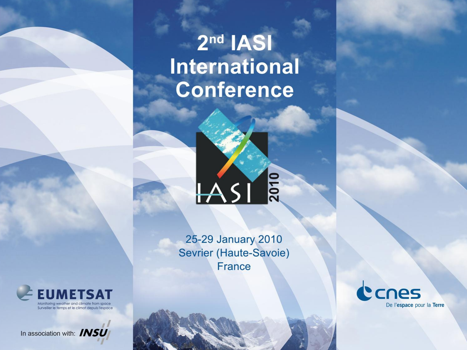#### $2<sup>nd</sup>$  IASI International Conference



25-29 January 2010 Sevrier (Haute-Savoie) France





In association with: **INSU**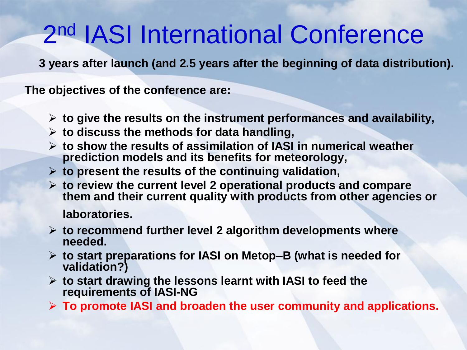## 2<sup>nd</sup> IASI International Conference

**3 years after launch (and 2.5 years after the beginning of data distribution).**

**The objectives of the conference are:**

- **to give the results on the instrument performances and availability,**
- **to discuss the methods for data handling,**
- **to show the results of assimilation of IASI in numerical weather prediction models and its benefits for meteorology,**
- **to present the results of the continuing validation,**
- **to review the current level 2 operational products and compare them and their current quality with products from other agencies or**

**laboratories.**

- **to recommend further level 2 algorithm developments where needed.**
- **to start preparations for IASI on Metop–B (what is needed for validation?)**
- **to start drawing the lessons learnt with IASI to feed the requirements of IASI-NG**

**To promote IASI and broaden the user community and applications.**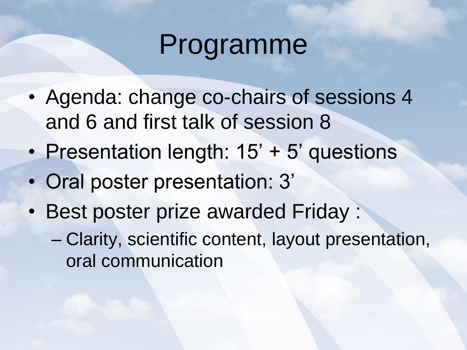## Programme

- Agenda: change co-chairs of sessions 4 and 6 and first talk of session 8
- Presentation length: 15' + 5' questions
- Oral poster presentation: 3'
- Best poster prize awarded Friday :
	- Clarity, scientific content, layout presentation, oral communication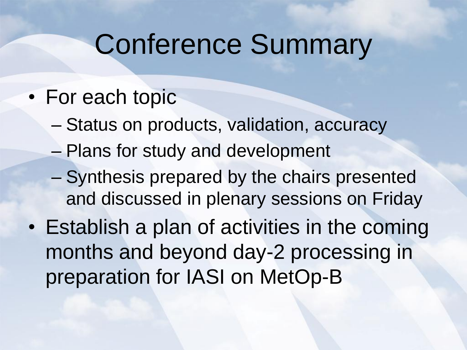## Conference Summary

- For each topic
	- Status on products, validation, accuracy
	- Plans for study and development
	- Synthesis prepared by the chairs presented and discussed in plenary sessions on Friday
- Establish a plan of activities in the coming months and beyond day-2 processing in preparation for IASI on MetOp-B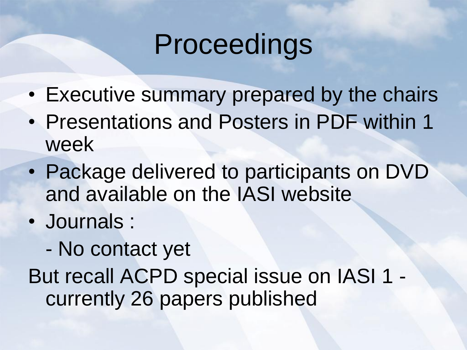# Proceedings

- Executive summary prepared by the chairs
- Presentations and Posters in PDF within 1 week
- Package delivered to participants on DVD and available on the IASI website
- Journals :
	- No contact yet

But recall ACPD special issue on IASI 1 currently 26 papers published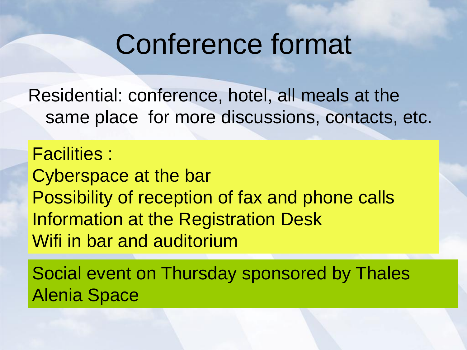## Conference format

Residential: conference, hotel, all meals at the same place for more discussions, contacts, etc.

Facilities : Cyberspace at the bar Possibility of reception of fax and phone calls Information at the Registration Desk Wifi in bar and auditorium

Social event on Thursday sponsored by Thales Alenia Space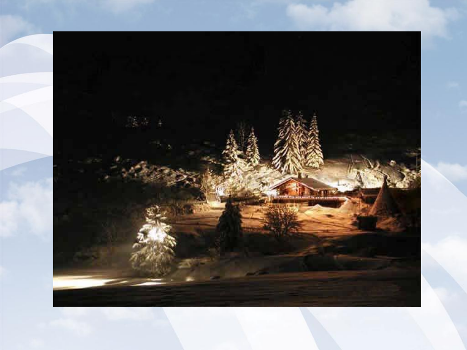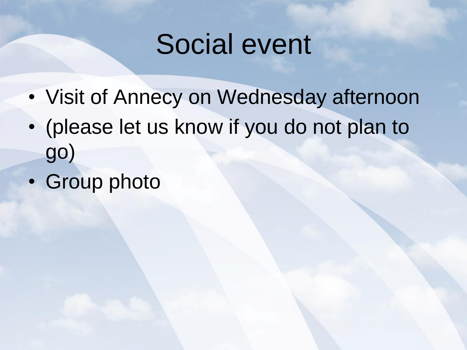# Social event

- Visit of Annecy on Wednesday afternoon
- (please let us know if you do not plan to go)
- Group photo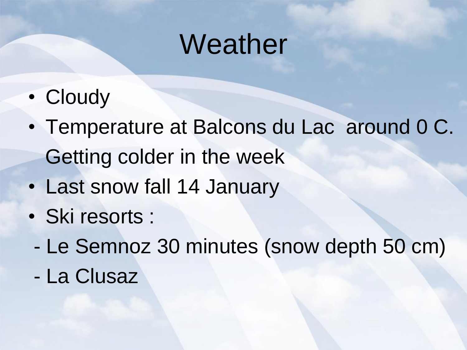# **Weather**

- Cloudy
- Temperature at Balcons du Lac around 0 C. Getting colder in the week
- Last snow fall 14 January
- Ski resorts :
- Le Semnoz 30 minutes (snow depth 50 cm)
- La Clusaz